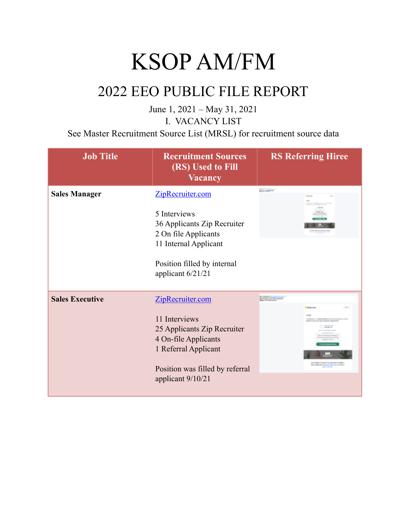## KSOP AM/FM

### 2022 EEO PUBLIC FILE REPORT

June 1, 2021 – May 31, 2021 I. VACANCY LIST

See Master Recruitment Source List (MRSL) for recruitment source data

| <b>Job Title</b>       | <b>Recruitment Sources</b><br>(RS) Used to Fill<br><b>Vacancy</b>                                                                                                        | <b>RS Referring Hiree</b>                                                                                                                              |
|------------------------|--------------------------------------------------------------------------------------------------------------------------------------------------------------------------|--------------------------------------------------------------------------------------------------------------------------------------------------------|
| <b>Sales Manager</b>   | ZipRecruiter.com<br>5 Interviews<br>36 Applicants Zip Recruiter<br>2 On file Applicants<br>11 Internal Applicant<br>Position filled by internal<br>applicant 6/21/21     | <b>Mountains</b>                                                                                                                                       |
| <b>Sales Executive</b> | ZipRecruiter.com<br>11 Interviews<br>25 Applicants Zip Recruiter<br>4 On-file Applicants<br>1 Referral Applicant<br>Position was filled by referral<br>applicant 9/10/21 | <b>Company of the prints</b><br><b>B European</b><br>in the street way way in finite-star transits<br>a Crain and Constitution of the American Service |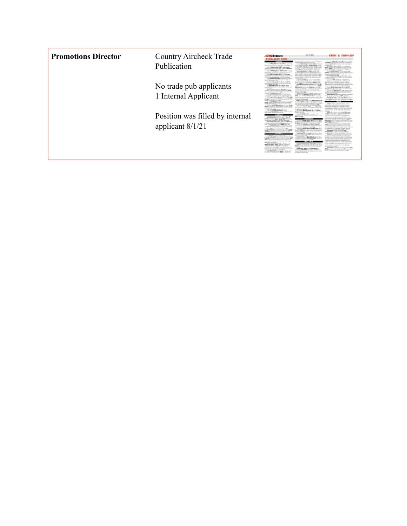| <b>Promotions Director</b> | <b>Country Aircheck Trade</b><br>Publication          | CCHECK<br><b><i>VILD.AIRAS SIEM</i></b><br>THE RECOVERED<br>Artificable in longiti with the city<br>Light on H Links<br><b>CALCULATION ARE CONTINUES</b><br>and the control of the second<br>as king minimizing                                                                                                                                                                                                                                                                                                                                                                                                   | 50 S.M.<br><b>Contract Contract</b><br>company often processing mind-<br><b>The Stevenson and</b><br>an experiment a tale to<br>advertising the dealership and<br>institution in charge of substant<br>                                                                                                                                                                                                                                                                                                                                                                                              | STILL & EMPLOY<br><b>Book Courses Merchant</b><br>produced converter that the industries is<br>security repositionally directly excellent environments<br>company class<br><b>MENTOR SONT</b><br>Antical communication or well, state<br>the product of the form and the following<br>policies in perceive to them serves contains service<br>the property of the contract of the<br>TOTAL GOLD BALLAS AND STA                                                                                                                                                                                                              |
|----------------------------|-------------------------------------------------------|-------------------------------------------------------------------------------------------------------------------------------------------------------------------------------------------------------------------------------------------------------------------------------------------------------------------------------------------------------------------------------------------------------------------------------------------------------------------------------------------------------------------------------------------------------------------------------------------------------------------|------------------------------------------------------------------------------------------------------------------------------------------------------------------------------------------------------------------------------------------------------------------------------------------------------------------------------------------------------------------------------------------------------------------------------------------------------------------------------------------------------------------------------------------------------------------------------------------------------|-----------------------------------------------------------------------------------------------------------------------------------------------------------------------------------------------------------------------------------------------------------------------------------------------------------------------------------------------------------------------------------------------------------------------------------------------------------------------------------------------------------------------------------------------------------------------------------------------------------------------------|
|                            | No trade pub applicants<br>1 Internal Applicant       | The file and at 1972 with the state and was<br>to a decade of the top decade a detail<br>and the state of the company of the con-<br><b>BACKED ATTN: AN</b><br>after any company's door than their<br>Anticola con A view Mr. Michigan<br>and the property of the company of the<br>complete please considers with data on and<br><b>ROSE</b> LM<br><b><i>Chairman comments</i></b><br>integra a city tirem gammi de-<br>and known a course some<br>a conden is editor into accordance for the<br>contractor are access any accessors                                                                             | explain additions: A limit and drive<br><b><i>CONSTRUCTION CONTINUES</i></b><br>month for excess excess a supply<br><b>Bank at collection adapted</b> in the<br>the collection of the collection of the collection<br>THE CHEM AND ALL ALL ALL ASSESSED.<br><b>CARD CORPORATION</b><br><b>CONTRACTOR</b><br>The country of the country of the country of<br><b>CONTRACTOR</b> INCOME.<br>and gallery a discount government and pa<br>a special actualization of the province<br><b>Cultural Service control</b><br><b>Contract of Section</b><br>10 Inter McLause 18 1.1 Store                       | proposed and a series in 1 and money<br>and art are called the officers.<br>APID, ADUPTION APPERTURE<br>Making character systems and approve of<br>works allow presidents a redaily indulty<br>sion Aris Away gain as in terms.<br>becausing a chief floor in form of<br>THE R. P. LEWIS CO., LANSING MICH.<br>ality environmental installation of any<br>---<br>CONTROL Marine<br>holtering them. City the Benti Linnin<br>March 1980 Harrison & 1980<br><b>WELLT SHARING SOLE FORM</b><br>an industry of a training star that the factor<br>an excessive limits original in days sever                                    |
|                            | Position was filled by internal<br>applicant $8/1/21$ | all work accounts were al-<br>in Terrapica Sha &<br>companies around the companies<br>a more a citizent person allow<br><b>Science and Associations Counter</b><br>to detail description of the condition of<br>the maindale state. Scient Trailing and<br>Motor in all conducts incomediately<br>an experience and state concerns an<br>is all the country of their selection of the<br><b>NEW STATE AND INCOME.</b><br>the materials of<br><b>Commission and the commission as an</b><br>the communities who continued by all the<br>to but the property of the forms and<br>case environmental appear products | AUTOGRAPHICALS<br><b>All Corp. and</b><br>at many and direct to proper consider<br>a conce and deal and condi-<br>the time of speciments continuously the second and<br>and an income accordance<br>any control percentage are<br>regio April To Mr. Approvements from<br>the property of the property of the property and<br>the Homes All Index Ages and in<br>a cor pas is \$1 today by recite from<br>the first of the same party of the old at<br>difference than a continue down.<br>were a probabilities presented with the time<br>and plan 2 page fundamentalizer land-<br>a lock a fact an | AFTA SIL QUATRI<br>de accessor con dire charge as destribue con<br>ps index engage & ladit (as on images<br>the party of the first and state area<br>Adapt construction. Moreover, and State<br>provide on the motivation who are you want that<br>the first field of the same country depends on the<br>NUMBER OF CASH OF TAXABLE SIZES<br><b>CONTRACTOR</b><br>single and are sense intendent a or as<br><b>Bride Accordings to the Accord Co.</b><br>perio altabanderana un aralla alteratua<br>and the first of the control of<br>hills an excitation in an illustrations<br>career than doesn't polarizable at the gap |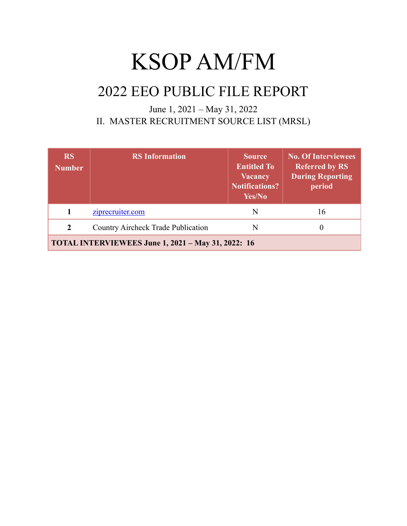# KSOP AM/FM

### 2022 EEO PUBLIC FILE REPORT

#### June 1, 2021 – May 31, 2022 II. MASTER RECRUITMENT SOURCE LIST (MRSL)

| <b>RS</b><br><b>Number</b>                                | <b>RS</b> Information                     | <b>Source</b><br><b>Entitled To</b><br><b>Vacancy</b><br><b>Notifications?</b><br>Yes/No | <b>No. Of Interviewees</b><br><b>Referred by RS</b><br><b>During Reporting</b><br>period |  |  |
|-----------------------------------------------------------|-------------------------------------------|------------------------------------------------------------------------------------------|------------------------------------------------------------------------------------------|--|--|
|                                                           | ziprecruiter.com                          | N                                                                                        | 16                                                                                       |  |  |
| $\mathbf{2}$                                              | <b>Country Aircheck Trade Publication</b> | N                                                                                        |                                                                                          |  |  |
| <b>TOTAL INTERVIEWEES June 1, 2021 - May 31, 2022: 16</b> |                                           |                                                                                          |                                                                                          |  |  |